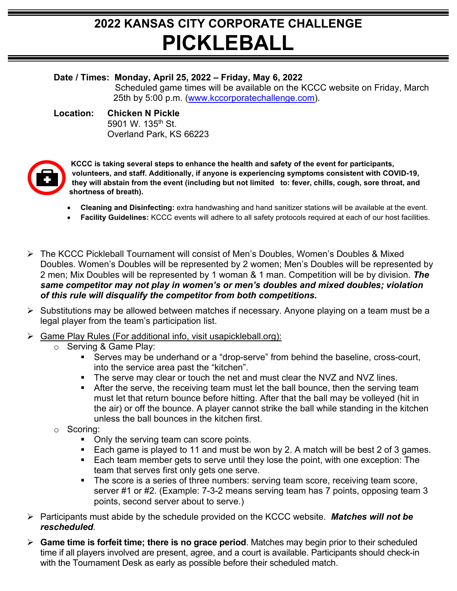## **2022 KANSAS CITY CORPORATE CHALLENGE PICKLEBALL**

## **Date / Times: Monday, April 25, 2022 – Friday, May 6, 2022**

Scheduled game times will be available on the KCCC website on Friday, March 25th by 5:00 p.m. [\(www.kccorporatechallenge.com\)](http://www.kccorporatechallenge.com/).

## **Location: Chicken N Pickle** 5901 W. 135<sup>th</sup> St. Overland Park, KS 66223



**KCCC is taking several steps to enhance the health and safety of the event for participants, volunteers, and staff. Additionally, if anyone is experiencing symptoms consistent with COVID-19, they will abstain from the event (including but not limited to: fever, chills, cough, sore throat, and shortness of breath).**

- **Cleaning and Disinfecting:** extra handwashing and hand sanitizer stations will be available at the event.
- **Facility Guidelines:** KCCC events will adhere to all safety protocols required at each of our host facilities.
- The KCCC Pickleball Tournament will consist of Men's Doubles, Women's Doubles & Mixed Doubles. Women's Doubles will be represented by 2 women; Men's Doubles will be represented by 2 men; Mix Doubles will be represented by 1 woman & 1 man. Competition will be by division. *The same competitor may not play in women's or men's doubles and mixed doubles; violation of this rule will disqualify the competitor from both competitions.*
- $\triangleright$  Substitutions may be allowed between matches if necessary. Anyone playing on a team must be a legal player from the team's participation list.
- Game Play Rules (For additional info, visit usapickleball.org):
	- o Serving & Game Play:
		- Serves may be underhand or a "drop-serve" from behind the baseline, cross-court, into the service area past the "kitchen".
		- The serve may clear or touch the net and must clear the NVZ and NVZ lines.
		- After the serve, the receiving team must let the ball bounce, then the serving team must let that return bounce before hitting. After that the ball may be volleyed (hit in the air) or off the bounce. A player cannot strike the ball while standing in the kitchen unless the ball bounces in the kitchen first.
	- o Scoring:
		- Only the serving team can score points.
		- Each game is played to 11 and must be won by 2. A match will be best 2 of 3 games.
		- **Each team member gets to serve until they lose the point, with one exception: The** team that serves first only gets one serve.
		- The score is a series of three numbers: serving team score, receiving team score, server #1 or #2. (Example: 7-3-2 means serving team has 7 points, opposing team 3 points, second server about to serve.)
- Participants must abide by the schedule provided on the KCCC website. *Matches will not be rescheduled.*
- **Game time is forfeit time; there is no grace period**. Matches may begin prior to their scheduled time if all players involved are present, agree, and a court is available. Participants should check-in with the Tournament Desk as early as possible before their scheduled match.